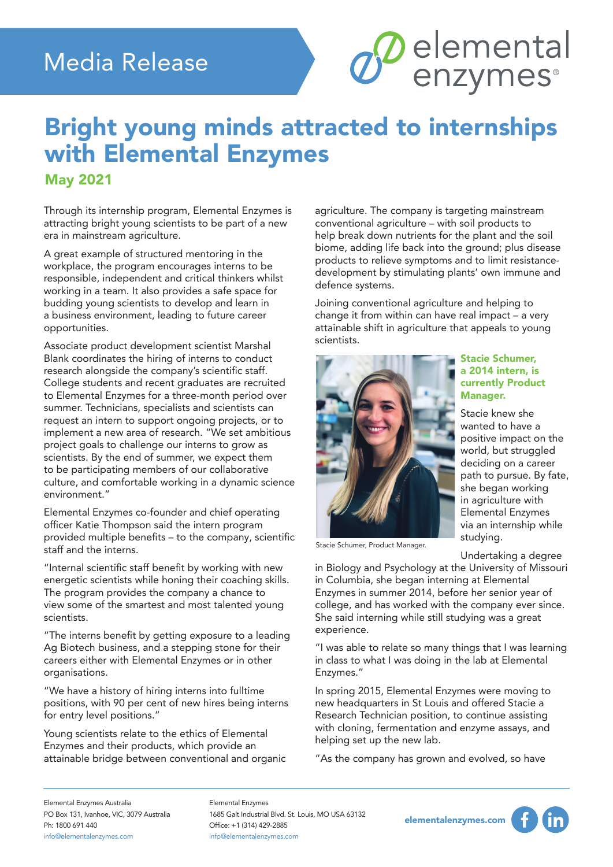#### Media Release

## Bright young minds attracted to internships with Elemental Enzymes

#### May 2021

Through its internship program, Elemental Enzymes is attracting bright young scientists to be part of a new era in mainstream agriculture.

A great example of structured mentoring in the workplace, the program encourages interns to be responsible, independent and critical thinkers whilst working in a team. It also provides a safe space for budding young scientists to develop and learn in a business environment, leading to future career opportunities.

Associate product development scientist Marshal Blank coordinates the hiring of interns to conduct research alongside the company's scientific staff. College students and recent graduates are recruited to Elemental Enzymes for a three-month period over summer. Technicians, specialists and scientists can request an intern to support ongoing projects, or to implement a new area of research. "We set ambitious project goals to challenge our interns to grow as scientists. By the end of summer, we expect them to be participating members of our collaborative culture, and comfortable working in a dynamic science environment."

Elemental Enzymes co-founder and chief operating officer Katie Thompson said the intern program provided multiple benefits – to the company, scientific staff and the interns.

"Internal scientific staff benefit by working with new energetic scientists while honing their coaching skills. The program provides the company a chance to view some of the smartest and most talented young scientists.

"The interns benefit by getting exposure to a leading Ag Biotech business, and a stepping stone for their careers either with Elemental Enzymes or in other organisations.

"We have a history of hiring interns into fulltime positions, with 90 per cent of new hires being interns for entry level positions."

Young scientists relate to the ethics of Elemental Enzymes and their products, which provide an attainable bridge between conventional and organic agriculture. The company is targeting mainstream conventional agriculture – with soil products to help break down nutrients for the plant and the soil biome, adding life back into the ground; plus disease products to relieve symptoms and to limit resistancedevelopment by stimulating plants' own immune and defence systems.

*S* elemental

Joining conventional agriculture and helping to change it from within can have real impact – a very attainable shift in agriculture that appeals to young scientists.



Stacie Schumer, Product Manager.

Stacie Schumer, a 2014 intern, is currently Product Manager.

Stacie knew she wanted to have a positive impact on the world, but struggled deciding on a career path to pursue. By fate, she began working in agriculture with Elemental Enzymes via an internship while studying.

Undertaking a degree

in Biology and Psychology at the University of Missouri in Columbia, she began interning at Elemental Enzymes in summer 2014, before her senior year of college, and has worked with the company ever since. She said interning while still studying was a great experience.

"I was able to relate so many things that I was learning in class to what I was doing in the lab at Elemental Enzymes."

In spring 2015, Elemental Enzymes were moving to new headquarters in St Louis and offered Stacie a Research Technician position, to continue assisting with cloning, fermentation and enzyme assays, and helping set up the new lab.

"As the company has grown and evolved, so have

Elemental Enzymes Australia PO Box 131, Ivanhoe, VIC, 3079 Australia Ph: 1800 691 440 info@elementalenzymes.com

Elemental Enzymes 1685 Galt Industrial Blvd. St. Louis, MO USA 63132 Office: +1 (314) 429-2885 info@elementalenzymes.com